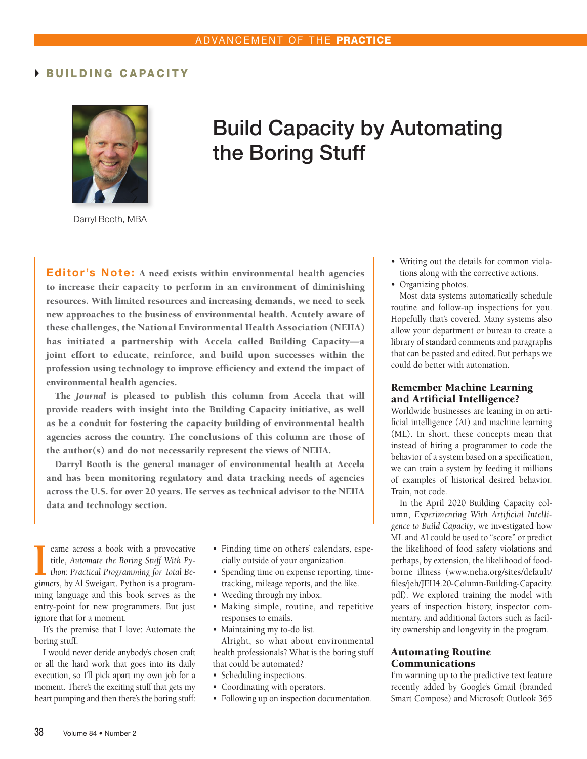### BUILDING CAPACITY



# Build Capacity by Automating the Boring Stuff

Darryl Booth, MBA

Editor's Note: A need exists within environmental health agencies to increase their capacity to perform in an environment of diminishing resources. With limited resources and increasing demands, we need to seek new approaches to the business of environmental health. Acutely aware of these challenges, the National Environmental Health Association (NEHA) has initiated a partnership with Accela called Building Capacity*—*a joint effort to educate, reinforce, and build upon successes within the profession using technology to improve efficiency and extend the impact of environmental health agencies.

The *Journal* is pleased to publish this column from Accela that will provide readers with insight into the Building Capacity initiative, as well as be a conduit for fostering the capacity building of environmental health agencies across the country. The conclusions of this column are those of the author(s) and do not necessarily represent the views of NEHA.

Darryl Booth is the general manager of environmental health at Accela and has been monitoring regulatory and data tracking needs of agencies across the U.S. for over 20 years. He serves as technical advisor to the NEHA data and technology section.

**I** came across a book with a provocative title, *Automate the Boring Stuff With Python: Practical Programming for Total Beginners, by Al Sweigart. Python is a program*came across a book with a provocative title, *Automate the Boring Stuff With Python: Practical Programming for Total Be*ming language and this book serves as the entry-point for new programmers. But just ignore that for a moment.

It's the premise that I love: Automate the boring stuff.

I would never deride anybody's chosen craft or all the hard work that goes into its daily execution, so I'll pick apart my own job for a moment. There's the exciting stuff that gets my heart pumping and then there's the boring stuff:

- Finding time on others' calendars, especially outside of your organization.
- Spending time on expense reporting, timetracking, mileage reports, and the like.
- Weeding through my inbox.
- Making simple, routine, and repetitive responses to emails.
- Maintaining my to-do list.

Alright, so what about environmental health professionals? What is the boring stuff that could be automated?

- Scheduling inspections.
- Coordinating with operators.
- Following up on inspection documentation.
- Writing out the details for common violations along with the corrective actions.
- Organizing photos.

Most data systems automatically schedule routine and follow-up inspections for you. Hopefully that's covered. Many systems also allow your department or bureau to create a library of standard comments and paragraphs that can be pasted and edited. But perhaps we could do better with automation.

#### Remember Machine Learning and Artificial Intelligence?

Worldwide businesses are leaning in on artificial intelligence (AI) and machine learning (ML). In short, these concepts mean that instead of hiring a programmer to code the behavior of a system based on a specification, we can train a system by feeding it millions of examples of historical desired behavior. Train, not code.

In the April 2020 Building Capacity column, Experimenting With Artificial Intelli*gence to Build Capacity*, we investigated how ML and AI could be used to "score" or predict the likelihood of food safety violations and perhaps, by extension, the likelihood of foodborne illness (www.neha.org/sites/default/ files/jeh/JEH4.20-Column-Building-Capacity. pdf). We explored training the model with years of inspection history, inspector commentary, and additional factors such as facility ownership and longevity in the program.

#### Automating Routine Communications

I'm warming up to the predictive text feature recently added by Google's Gmail (branded Smart Compose) and Microsoft Outlook 365